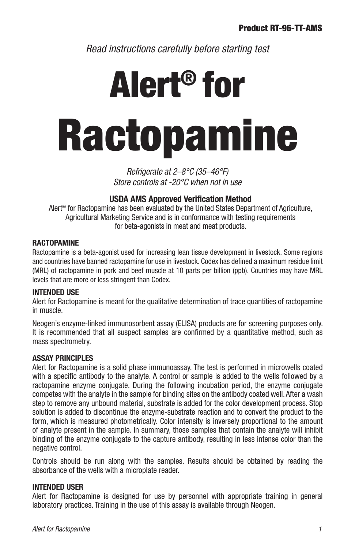*Read instructions carefully before starting test*

# Alert® for Ractopamine

*Refrigerate at 2–8°C (35–46°F) Store controls at -20°C when not in use*

# **USDA AMS Approved Verification Method**

Alert® for Ractopamine has been evaluated by the United States Department of Agriculture, Agricultural Marketing Service and is in conformance with testing requirements for beta-agonists in meat and meat products.

# **RACTOPAMINE**

Ractopamine is a beta-agonist used for increasing lean tissue development in livestock. Some regions and countries have banned ractopamine for use in livestock. Codex has defined a maximum residue limit (MRL) of ractopamine in pork and beef muscle at 10 parts per billion (ppb). Countries may have MRL levels that are more or less stringent than Codex.

# **INTENDED USE**

Alert for Ractopamine is meant for the qualitative determination of trace quantities of ractopamine in muscle.

Neogen's enzyme-linked immunosorbent assay (ELISA) products are for screening purposes only. It is recommended that all suspect samples are confirmed by a quantitative method, such as mass spectrometry.

# **ASSAY PRINCIPLES**

Alert for Ractopamine is a solid phase immunoassay. The test is performed in microwells coated with a specific antibody to the analyte. A control or sample is added to the wells followed by a ractopamine enzyme conjugate. During the following incubation period, the enzyme conjugate competes with the analyte in the sample for binding sites on the antibody coated well. After a wash step to remove any unbound material, substrate is added for the color development process. Stop solution is added to discontinue the enzyme-substrate reaction and to convert the product to the form, which is measured photometrically. Color intensity is inversely proportional to the amount of analyte present in the sample. In summary, those samples that contain the analyte will inhibit binding of the enzyme conjugate to the capture antibody, resulting in less intense color than the negative control.

Controls should be run along with the samples. Results should be obtained by reading the absorbance of the wells with a microplate reader.

# **INTENDED USER**

Alert for Ractopamine is designed for use by personnel with appropriate training in general laboratory practices. Training in the use of this assay is available through Neogen.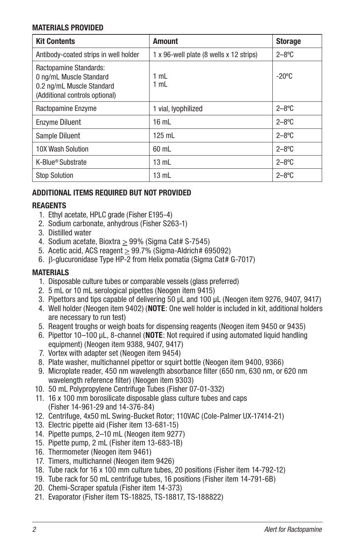# **MATERIALS PROVIDED**

| <b>Kit Contents</b>                                                                                              | <b>Amount</b>                           | <b>Storage</b>  |
|------------------------------------------------------------------------------------------------------------------|-----------------------------------------|-----------------|
| Antibody-coated strips in well holder                                                                            | 1 x 96-well plate (8 wells x 12 strips) | $2 - 8$ °C      |
| Ractopamine Standards:<br>0 ng/mL Muscle Standard<br>0.2 ng/mL Muscle Standard<br>(Additional controls optional) | 1 mL<br>1 mL                            | $-20^{\circ}$ C |
| Ractopamine Enzyme                                                                                               | 1 vial, lyophilized                     | $2 - 8$ °C      |
| <b>Enzyme Diluent</b>                                                                                            | $16 \text{ mL}$                         | $2 - 8$ °C      |
| Sample Diluent                                                                                                   | 125 mL                                  | $2 - 8$ °C      |
| 10X Wash Solution                                                                                                | 60 mL                                   | $2 - 8$ °C      |
| K-Blue <sup>®</sup> Substrate                                                                                    | $13 \text{ mL}$                         | $2 - 8$ °C      |
| <b>Stop Solution</b>                                                                                             | $13 \text{ mL}$                         | $2 - 8$ °C      |

# **ADDITIONAL ITEMS REQUIRED BUT NOT PROVIDED**

# **REAGENTS**

- 1. Ethyl acetate, HPLC grade (Fisher E195-4)
- 2. Sodium carbonate, anhydrous (Fisher S263-1)
- 3. Distilled water
- 4. Sodium acetate, Bioxtra > 99% (Sigma Cat# S-7545)
- 5. Acetic acid, ACS reagent > 99.7% (Sigma-Aldrich# 695092)
- 6. b-glucuronidase Type HP-2 from Helix pomatia (Sigma Cat# G-7017)

# **MATERIALS**

- 1. Disposable culture tubes or comparable vessels (glass preferred)
- 2. 5 mL or 10 mL serological pipettes (Neogen item 9415)
- 3. Pipettors and tips capable of delivering 50 µL and 100 µL (Neogen item 9276, 9407, 9417)
- 4. Well holder (Neogen item 9402) (**NOTE**: One well holder is included in kit, additional holders are necessary to run test)
- 5. Reagent troughs or weigh boats for dispensing reagents (Neogen item 9450 or 9435)
- 6. Pipettor 10–100 µL, 8-channel (**NOTE**: Not required if using automated liquid handling equipment) (Neogen item 9388, 9407, 9417)
- 7. Vortex with adapter set (Neogen item 9454)
- 8. Plate washer, multichannel pipettor or squirt bottle (Neogen item 9400, 9366)
- 9. Microplate reader, 450 nm wavelength absorbance filter (650 nm, 630 nm, or 620 nm wavelength reference filter) (Neogen item 9303)
- 10. 50 mL Polypropylene Centrifuge Tubes (Fisher 07-01-332)
- 11. 16 x 100 mm borosilicate disposable glass culture tubes and caps (Fisher 14-961-29 and 14-376-84)
- 12. Centrifuge, 4x50 mL Swing-Bucket Rotor; 110VAC (Cole-Palmer UX-17414-21)
- 13. Electric pipette aid (Fisher item 13-681-15)
- 14. Pipette pumps, 2–10 mL (Neogen item 9277)
- 15. Pipette pump, 2 mL (Fisher item 13-683-1B)
- 16. Thermometer (Neogen item 9461)
- 17. Timers, multichannel (Neogen item 9426)
- 18. Tube rack for 16 x 100 mm culture tubes, 20 positions (Fisher item 14-792-12)
- 19. Tube rack for 50 mL centrifuge tubes, 16 positions (Fisher item 14-791-6B)
- 20. Chemi-Scraper spatula (Fisher item 14-373)
- 21. Evaporator (Fisher item TS-18825, TS-18817, TS-188822)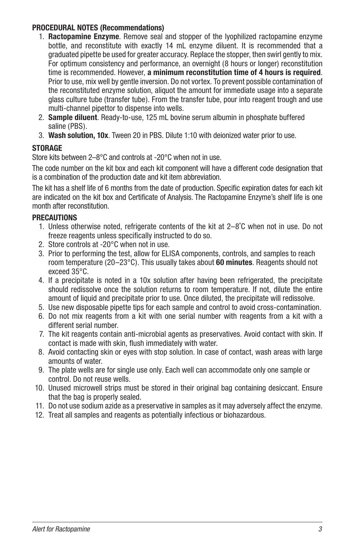## **PROCEDURAL NOTES (Recommendations)**

- 1. **Ractopamine Enzyme**. Remove seal and stopper of the lyophilized ractopamine enzyme bottle, and reconstitute with exactly 14 mL enzyme diluent. It is recommended that a graduated pipette be used for greater accuracy. Replace the stopper, then swirl gently to mix. For optimum consistency and performance, an overnight (8 hours or longer) reconstitution time is recommended. However, **a minimum reconstitution time of 4 hours is required**. Prior to use, mix well by gentle inversion. Do not vortex. To prevent possible contamination of the reconstituted enzyme solution, aliquot the amount for immediate usage into a separate glass culture tube (transfer tube). From the transfer tube, pour into reagent trough and use multi-channel pipettor to dispense into wells.
- 2. **Sample diluent**. Ready-to-use, 125 mL bovine serum albumin in phosphate buffered saline (PBS).
- 3. **Wash solution, 10x**. Tween 20 in PBS. Dilute 1:10 with deionized water prior to use.

# **STORAGE**

Store kits between 2–8°C and controls at -20°C when not in use.

The code number on the kit box and each kit component will have a different code designation that is a combination of the production date and kit item abbreviation.

The kit has a shelf life of 6 months from the date of production. Specific expiration dates for each kit are indicated on the kit box and Certificate of Analysis. The Ractopamine Enzyme's shelf life is one month after reconstitution.

# **PRECAUTIONS**

- 1. Unless otherwise noted, refrigerate contents of the kit at 2–8˚C when not in use. Do not freeze reagents unless specifically instructed to do so.
- 2. Store controls at -20°C when not in use.
- 3. Prior to performing the test, allow for ELISA components, controls, and samples to reach room temperature (20–23°C). This usually takes about **60 minutes**. Reagents should not exceed 35°C.
- 4. If a precipitate is noted in a 10x solution after having been refrigerated, the precipitate should redissolve once the solution returns to room temperature. If not, dilute the entire amount of liquid and precipitate prior to use. Once diluted, the precipitate will redissolve.
- 5. Use new disposable pipette tips for each sample and control to avoid cross-contamination.
- 6. Do not mix reagents from a kit with one serial number with reagents from a kit with a different serial number.
- 7. The kit reagents contain anti-microbial agents as preservatives. Avoid contact with skin. If contact is made with skin, flush immediately with water.
- 8. Avoid contacting skin or eyes with stop solution. In case of contact, wash areas with large amounts of water.
- 9. The plate wells are for single use only. Each well can accommodate only one sample or control. Do not reuse wells.
- 10. Unused microwell strips must be stored in their original bag containing desiccant. Ensure that the bag is properly sealed.
- 11. Do not use sodium azide as a preservative in samples as it may adversely affect the enzyme.
- 12. Treat all samples and reagents as potentially infectious or biohazardous.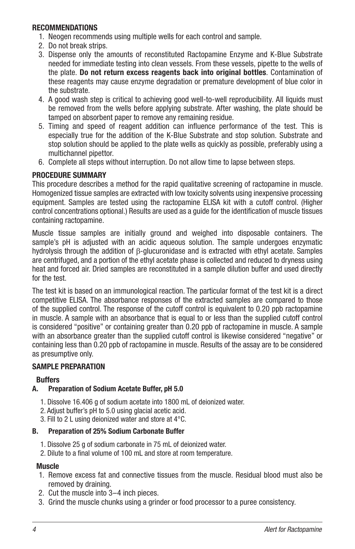### **RECOMMENDATIONS**

- 1. Neogen recommends using multiple wells for each control and sample.
- 2. Do not break strips.
- 3. Dispense only the amounts of reconstituted Ractopamine Enzyme and K-Blue Substrate needed for immediate testing into clean vessels. From these vessels, pipette to the wells of the plate. **Do not return excess reagents back into original bottles**. Contamination of these reagents may cause enzyme degradation or premature development of blue color in the substrate.
- 4. A good wash step is critical to achieving good well-to-well reproducibility. All liquids must be removed from the wells before applying substrate. After washing, the plate should be tamped on absorbent paper to remove any remaining residue.
- 5. Timing and speed of reagent addition can influence performance of the test. This is especially true for the addition of the K-Blue Substrate and stop solution. Substrate and stop solution should be applied to the plate wells as quickly as possible, preferably using a multichannel pipettor.
- 6. Complete all steps without interruption. Do not allow time to lapse between steps.

# **PROCEDURE SUMMARY**

This procedure describes a method for the rapid qualitative screening of ractopamine in muscle. Homogenized tissue samples are extracted with low toxicity solvents using inexpensive processing equipment. Samples are tested using the ractopamine ELISA kit with a cutoff control. (Higher control concentrations optional.) Results are used as a guide for the identification of muscle tissues containing ractopamine.

Muscle tissue samples are initially ground and weighed into disposable containers. The sample's pH is adjusted with an acidic aqueous solution. The sample undergoes enzymatic hydrolysis through the addition of  $\beta$ -glucuronidase and is extracted with ethyl acetate. Samples are centrifuged, and a portion of the ethyl acetate phase is collected and reduced to dryness using heat and forced air. Dried samples are reconstituted in a sample dilution buffer and used directly for the test.

The test kit is based on an immunological reaction. The particular format of the test kit is a direct competitive ELISA. The absorbance responses of the extracted samples are compared to those of the supplied control. The response of the cutoff control is equivalent to 0.20 ppb ractopamine in muscle. A sample with an absorbance that is equal to or less than the supplied cutoff control is considered "positive" or containing greater than 0.20 ppb of ractopamine in muscle. A sample with an absorbance greater than the supplied cutoff control is likewise considered "negative" or containing less than 0.20 ppb of ractopamine in muscle. Results of the assay are to be considered as presumptive only.

# **SAMPLE PREPARATION**

# **Buffers**

# **A. Preparation of Sodium Acetate Buffer, pH 5.0**

- 1. Dissolve 16.406 g of sodium acetate into 1800 mL of deionized water.
- 2. Adjust buffer's pH to 5.0 using glacial acetic acid.
- 3. Fill to 2 L using deionized water and store at 4°C.

# **B. Preparation of 25% Sodium Carbonate Buffer**

- 1. Dissolve 25 g of sodium carbonate in 75 mL of deionized water.
- 2. Dilute to a final volume of 100 mL and store at room temperature.

#### **Muscle**

- 1. Remove excess fat and connective tissues from the muscle. Residual blood must also be removed by draining.
- 2. Cut the muscle into 3–4 inch pieces.
- 3. Grind the muscle chunks using a grinder or food processor to a puree consistency.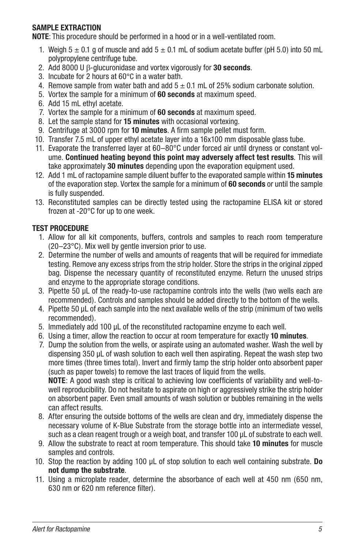# **SAMPLE EXTRACTION**

**NOTE**: This procedure should be performed in a hood or in a well-ventilated room.

- 1. Weigh  $5 \pm 0.1$  g of muscle and add  $5 \pm 0.1$  mL of sodium acetate buffer (pH 5.0) into 50 mL polypropylene centrifuge tube.
- 2. Add 8000 U b-glucuronidase and vortex vigorously for **30 seconds**.
- 3. Incubate for 2 hours at 60°C in a water bath.
- 4. Remove sample from water bath and add  $5 \pm 0.1$  mL of 25% sodium carbonate solution.
- 5. Vortex the sample for a minimum of **60 seconds** at maximum speed.
- 6. Add 15 mL ethyl acetate.
- 7. Vortex the sample for a minimum of **60 seconds** at maximum speed.
- 8. Let the sample stand for **15 minutes** with occasional vortexing.
- 9. Centrifuge at 3000 rpm for **10 minutes**. A firm sample pellet must form.
- 10. Transfer 7.5 mL of upper ethyl acetate layer into a 16x100 mm disposable glass tube.
- 11. Evaporate the transferred layer at 60–80°C under forced air until dryness or constant volume. **Continued heating beyond this point may adversely affect test results**. This will take approximately **30 minutes** depending upon the evaporation equipment used.
- 12. Add 1 mL of ractopamine sample diluent buffer to the evaporated sample within **15 minutes**  of the evaporation step. Vortex the sample for a minimum of **60 seconds** or until the sample is fully suspended.
- 13. Reconstituted samples can be directly tested using the ractopamine ELISA kit or stored frozen at -20°C for up to one week.

# **TEST PROCEDURE**

- 1. Allow for all kit components, buffers, controls and samples to reach room temperature (20–23°C). Mix well by gentle inversion prior to use.
- 2. Determine the number of wells and amounts of reagents that will be required for immediate testing. Remove any excess strips from the strip holder. Store the strips in the original zipped bag. Dispense the necessary quantity of reconstituted enzyme. Return the unused strips and enzyme to the appropriate storage conditions.
- 3. Pipette 50 µL of the ready-to-use ractopamine controls into the wells (two wells each are recommended). Controls and samples should be added directly to the bottom of the wells.
- 4. Pipette 50 µL of each sample into the next available wells of the strip (minimum of two wells recommended).
- 5. Immediately add 100 µL of the reconstituted ractopamine enzyme to each well.
- 6. Using a timer, allow the reaction to occur at room temperature for exactly **10 minutes**.
- 7. Dump the solution from the wells, or aspirate using an automated washer. Wash the well by dispensing 350 µL of wash solution to each well then aspirating. Repeat the wash step two more times (three times total). Invert and firmly tamp the strip holder onto absorbent paper (such as paper towels) to remove the last traces of liquid from the wells. **NOTE**: A good wash step is critical to achieving low coefficients of variability and well-to-

well reproducibility. Do not hesitate to aspirate on high or aggressively strike the strip holder on absorbent paper. Even small amounts of wash solution or bubbles remaining in the wells can affect results.

- 8. After ensuring the outside bottoms of the wells are clean and dry, immediately dispense the necessary volume of K-Blue Substrate from the storage bottle into an intermediate vessel, such as a clean reagent trough or a weigh boat, and transfer 100 µL of substrate to each well.
- 9. Allow the substrate to react at room temperature. This should take **10 minutes** for muscle samples and controls.
- 10. Stop the reaction by adding 100 µL of stop solution to each well containing substrate. **Do not dump the substrate**.
- 11. Using a microplate reader, determine the absorbance of each well at 450 nm (650 nm, 630 nm or 620 nm reference filter).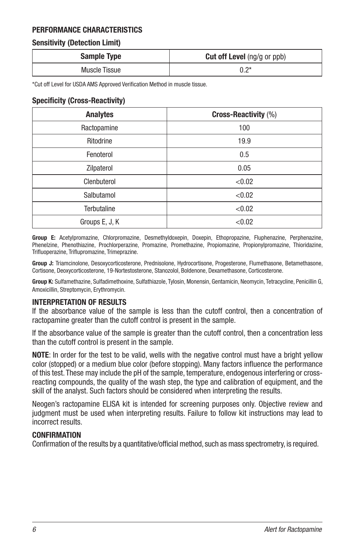# **PERFORMANCE CHARACTERISTICS**

# **Sensitivity (Detection Limit)**

| <b>Sample Type</b> | <b>Cut off Level</b> (ng/g or ppb) |
|--------------------|------------------------------------|
| Muscle Tissue      | ∗ר ∩                               |

\*Cut off Level for USDA AMS Approved Verification Method in muscle tissue.

#### **Specificity (Cross-Reactivity)**

| <b>Analytes</b>    | Cross-Reactivity (%) |
|--------------------|----------------------|
| Ractopamine        | 100                  |
| Ritodrine          | 19.9                 |
| Fenoterol          | 0.5                  |
| Zilpaterol         | 0.05                 |
| Clenbuterol        | < 0.02               |
| Salbutamol         | < 0.02               |
| <b>Terbutaline</b> | < 0.02               |
| Groups E, J, K     | < 0.02               |

**Group E:** Acetylpromazine, Chlorpromazine, Desmethyldoxepin, Doxepin, Ethopropazine, Fluphenazine, Perphenazine, Phenelzine, Phenothiazine, Prochlorperazine, Promazine, Promethazine, Propiomazine, Propionylpromazine, Thioridazine, Trifluoperazine, Triflupromazine, Trimeprazine.

**Group J:** Triamcinolone, Desoxycorticosterone, Prednisolone, Hydrocortisone, Progesterone, Flumethasone, Betamethasone, Cortisone, Deoxycorticosterone, 19-Nortestosterone, Stanozolol, Boldenone, Dexamethasone, Corticosterone.

**Group K:** Sulfamethazine, Sulfadimethoxine, Sulfathiazole, Tylosin, Monensin, Gentamicin, Neomycin, Tetracycline, Penicillin G, Amoxicillin, Streptomycin, Erythromycin.

#### **INTERPRETATION OF RESULTS**

If the absorbance value of the sample is less than the cutoff control, then a concentration of ractopamine greater than the cutoff control is present in the sample.

If the absorbance value of the sample is greater than the cutoff control, then a concentration less than the cutoff control is present in the sample.

**NOTE**: In order for the test to be valid, wells with the negative control must have a bright yellow color (stopped) or a medium blue color (before stopping). Many factors influence the performance of this test. These may include the pH of the sample, temperature, endogenous interfering or crossreacting compounds, the quality of the wash step, the type and calibration of equipment, and the skill of the analyst. Such factors should be considered when interpreting the results.

Neogen's ractopamine ELISA kit is intended for screening purposes only. Objective review and judgment must be used when interpreting results. Failure to follow kit instructions may lead to incorrect results.

# **CONFIRMATION**

Confirmation of the results by a quantitative/official method, such as mass spectrometry, is required.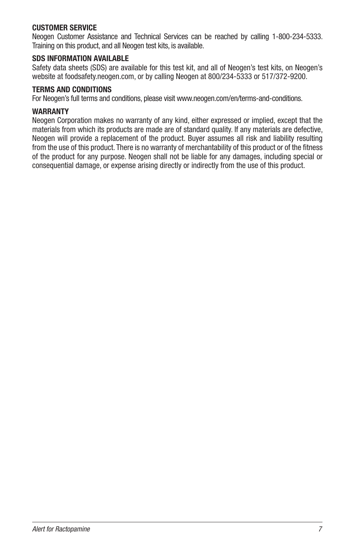#### **CUSTOMER SERVICE**

Neogen Customer Assistance and Technical Services can be reached by calling 1-800-234-5333. Training on this product, and all Neogen test kits, is available.

# **SDS INFORMATION AVAILABLE**

Safety data sheets (SDS) are available for this test kit, and all of Neogen's test kits, on Neogen's website at foodsafety.neogen.com, or by calling Neogen at 800/234-5333 or 517/372-9200.

### **TERMS AND CONDITIONS**

For Neogen's full terms and conditions, please visit www.neogen.com/en/terms-and-conditions.

#### **WARRANTY**

Neogen Corporation makes no warranty of any kind, either expressed or implied, except that the materials from which its products are made are of standard quality. If any materials are defective, Neogen will provide a replacement of the product. Buyer assumes all risk and liability resulting from the use of this product. There is no warranty of merchantability of this product or of the fitness of the product for any purpose. Neogen shall not be liable for any damages, including special or consequential damage, or expense arising directly or indirectly from the use of this product.